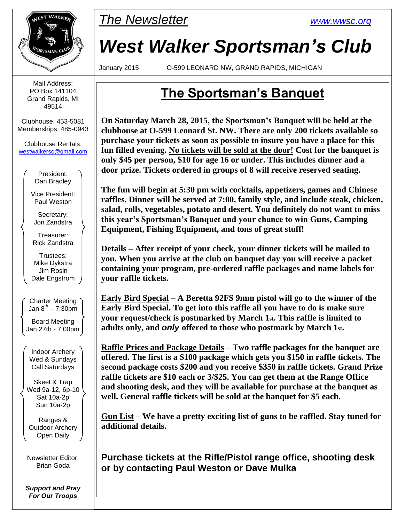

Mail Address: PO Box 141104 Grand Rapids, MI 49514

Clubhouse: 453-5081 Memberships: 485-0943

Clubhouse Rentals: [westwalkersc@gmail.com](mailto:westwalkersc@gmail.com)

> President: Dan Bradley

Vice President: Paul Weston

Secretary: Jon Zandstra

Treasurer: Rick Zandstra

Trustees: Mike Dykstra Jim Rosin Dale Engstrom

Charter Meeting Jan 8 th – 7:30pm

Board Meeting Jan 27th - 7:00pm

Indoor Archery Wed & Sundays Call Saturdays

Skeet & Trap Wed 9a-12, 6p-10 Sat 10a-2p Sun 10a-2p

Ranges & Outdoor Archery Open Daily

Newsletter Editor: Brian Goda

*Support and Pray For Our Troops*



# *West Walker Sportsman's Club*

January 2015 O-599 LEONARD NW, GRAND RAPIDS, MICHIGAN

# **The Sportsman's Banquet**

**On Saturday March 28, 2015, the Sportsman's Banquet will be held at the clubhouse at O-599 Leonard St. NW. There are only 200 tickets available so purchase your tickets as soon as possible to insure you have a place for this fun filled evening. No tickets will be sold at the door! Cost for the banquet is only \$45 per person, \$10 for age 16 or under. This includes dinner and a door prize. Tickets ordered in groups of 8 will receive reserved seating.**

**The fun will begin at 5:30 pm with cocktails, appetizers, games and Chinese raffles. Dinner will be served at 7:00, family style, and include steak, chicken, salad, rolls, vegetables, potato and desert. You definitely do not want to miss this year's Sportsman's Banquet and your chance to win Guns, Camping Equipment, Fishing Equipment, and tons of great stuff!**

**Details – After receipt of your check, your dinner tickets will be mailed to you. When you arrive at the club on banquet day you will receive a packet containing your program, pre-ordered raffle packages and name labels for your raffle tickets.**

**Early Bird Special – A Beretta 92FS 9mm pistol will go to the winner of the Early Bird Special. To get into this raffle all you have to do is make sure your request/check is postmarked by March 1st. This raffle is limited to adults only, and** *only* **offered to those who postmark by March 1st.**

**Raffle Prices and Package Details – Two raffle packages for the banquet are offered. The first is a \$100 package which gets you \$150 in raffle tickets. The second package costs \$200 and you receive \$350 in raffle tickets. Grand Prize raffle tickets are \$10 each or 3/\$25. You can get them at the Range Office and shooting desk, and they will be available for purchase at the banquet as well. General raffle tickets will be sold at the banquet for \$5 each.**

**Gun List – We have a pretty exciting list of guns to be raffled. Stay tuned for additional details.**

**Purchase tickets at the Rifle/Pistol range office, shooting desk or by contacting Paul Weston or Dave Mulka**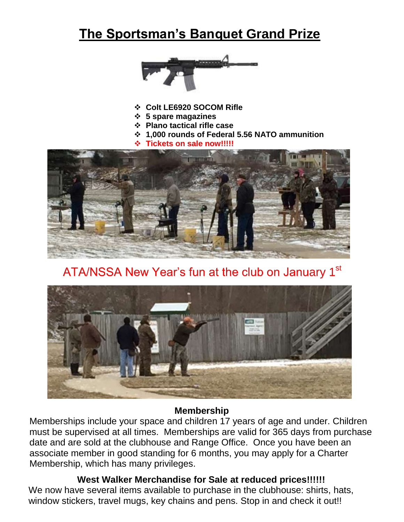# **The Sportsman's Banquet Grand Prize**



- **Colt LE6920 SOCOM Rifle**
- **5 spare magazines**
- **Plano tactical rifle case**
- **1,000 rounds of Federal 5.56 NATO ammunition**
- **Tickets on sale now!!!!!**



# ATA/NSSA New Year's fun at the club on January 1st



#### **Membership**

Memberships include your space and children 17 years of age and under. Children must be supervised at all times. Memberships are valid for 365 days from purchase date and are sold at the clubhouse and Range Office. Once you have been an associate member in good standing for 6 months, you may apply for a Charter Membership, which has many privileges.

### **West Walker Merchandise for Sale at reduced prices!!!!!!**

We now have several items available to purchase in the clubhouse: shirts, hats, window stickers, travel mugs, key chains and pens. Stop in and check it out!!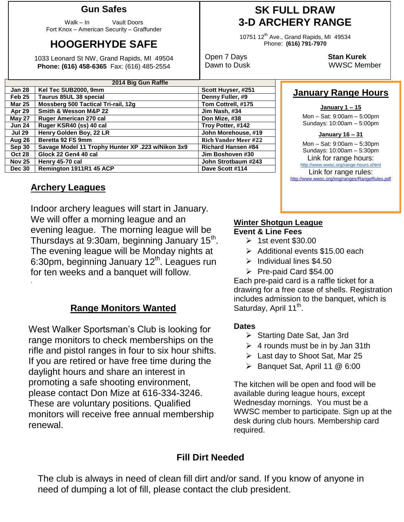#### **Gun Safes**

Walk – In Vault Doors Fort Knox – American Security – Graffunder

# **HOOGERHYDE SAFE**

1033 Leonard St NW, Grand Rapids, MI 49504 **Phone: (616) 458-6365** Fax: (616) 485-2554

| 2014 Big Gun Raffle |                                                   |                             |  |  |  |  |  |
|---------------------|---------------------------------------------------|-----------------------------|--|--|--|--|--|
| <b>Jan 28</b>       | Kel Tec SUB2000, 9mm                              | Scott Huyser, #251          |  |  |  |  |  |
| Feb 25              | Taurus 85UL 38 special                            | Denny Fuller, #9            |  |  |  |  |  |
| <b>Mar 25</b>       | Mossberg 500 Tactical Tri-rail, 12g               | Tom Cottrell, #175          |  |  |  |  |  |
| Apr 29              | Smith & Wesson M&P 22                             | Jim Nash, #34               |  |  |  |  |  |
| <b>May 27</b>       | Ruger American 270 cal                            | Don Mize, #38               |  |  |  |  |  |
| <b>Jun 24</b>       | Ruger KSR40 (ss) 40 cal                           | Troy Potter, #142           |  |  |  |  |  |
| <b>Jul 29</b>       | Henry Golden Boy, 22 LR                           | John Morehouse, #19         |  |  |  |  |  |
| Aug 26              | Beretta 92 FS 9mm                                 | <b>Rich Vander Meer #22</b> |  |  |  |  |  |
| Sep 30              | Savage Model 11 Trophy Hunter XP .223 w/Nikon 3x9 | <b>Richard Hansen #84</b>   |  |  |  |  |  |
| <b>Oct 28</b>       | Glock 22 Gen4 40 cal                              | Jim Boshoven #30            |  |  |  |  |  |
| <b>Nov 25</b>       | Henry 45-70 cal                                   | John Strotbaum #243         |  |  |  |  |  |
| <b>Dec 30</b>       | Remington 1911R1 45 ACP                           | Dave Scott #114             |  |  |  |  |  |

#### **Archery Leagues**

.

Indoor archery leagues will start in January. We will offer a morning league and an evening league. The morning league will be Thursdays at 9:30am, beginning January 15<sup>th</sup>. The evening league will be Monday nights at 6:30pm, beginning January  $12<sup>th</sup>$ . Leagues run for ten weeks and a banquet will follow.

### **Range Monitors Wanted**

West Walker Sportsman's Club is looking for range monitors to check memberships on the rifle and pistol ranges in four to six hour shifts. If you are retired or have free time during the daylight hours and share an interest in promoting a safe shooting environment, please contact Don Mize at 616-334-3246. These are voluntary positions. Qualified monitors will receive free annual membership renewal.

## **SK FULL DRAW 3-D ARCHERY RANGE**

10751 12<sup>th</sup> Ave., Grand Rapids, MI 49534 Phone: **(616) 791-7970**

Open 7 Days **Stan Kurek** Dawn to Dusk WWSC Member

### **January Range Hours**

#### **January 1 – 15**

Mon – Sat: 9:00am – 5:00pm Sundays: 10:00am – 5:00pm

#### **January 16 – 31**

Mon – Sat: 9:00am – 5:30pm Sundays: 10:00am – 5:30pm Link for range hours: <http://www.wwsc.org/range-hours.shtml> Link for range rules: http://www.wwsc.org/img/ranges/RangeRules.pdf

#### **Winter Shotgun League Event & Line Fees**

- $\geq$  1st event \$30.00
- $\triangleright$  Additional events \$15.00 each
- $\blacktriangleright$  Individual lines \$4.50
- Pre-paid Card \$54.00

Each pre-paid card is a raffle ticket for a drawing for a free case of shells. Registration includes admission to the banquet, which is Saturday, April 11<sup>th</sup>.

#### **Dates**

- ▶ Starting Date Sat, Jan 3rd
- $\triangleright$  4 rounds must be in by Jan 31th
- Last day to Shoot Sat, Mar 25
- Banquet Sat, April 11 @ 6:00

The kitchen will be open and food will be available during league hours, except Wednesday mornings. You must be a WWSC member to participate. Sign up at the desk during club hours. Membership card required.

### **Fill Dirt Needed**

The club is always in need of clean fill dirt and/or sand. If you know of anyone in need of dumping a lot of fill, please contact the club president.